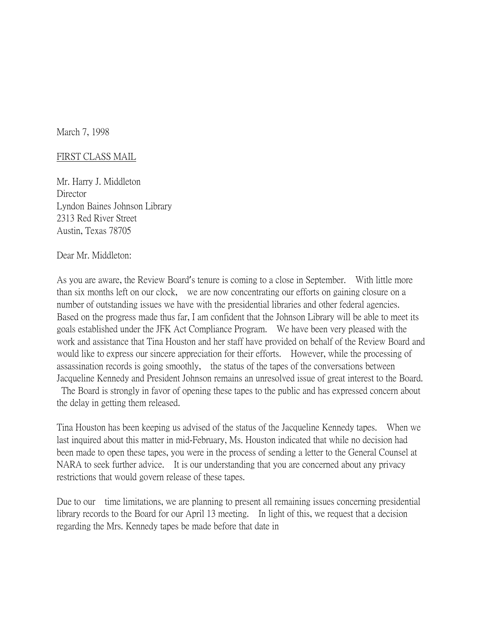March 7, 1998

## FIRST CLASS MAIL

Mr. Harry J. Middleton **Director** Lyndon Baines Johnson Library 2313 Red River Street Austin, Texas 78705

Dear Mr. Middleton:

As you are aware, the Review Board's tenure is coming to a close in September. With little more than six months left on our clock, we are now concentrating our efforts on gaining closure on a number of outstanding issues we have with the presidential libraries and other federal agencies. Based on the progress made thus far, I am confident that the Johnson Library will be able to meet its goals established under the JFK Act Compliance Program. We have been very pleased with the work and assistance that Tina Houston and her staff have provided on behalf of the Review Board and would like to express our sincere appreciation for their efforts. However, while the processing of assassination records is going smoothly, the status of the tapes of the conversations between Jacqueline Kennedy and President Johnson remains an unresolved issue of great interest to the Board. The Board is strongly in favor of opening these tapes to the public and has expressed concern about

the delay in getting them released.

Tina Houston has been keeping us advised of the status of the Jacqueline Kennedy tapes. When we last inquired about this matter in mid-February, Ms. Houston indicated that while no decision had been made to open these tapes, you were in the process of sending a letter to the General Counsel at NARA to seek further advice. It is our understanding that you are concerned about any privacy restrictions that would govern release of these tapes.

Due to our time limitations, we are planning to present all remaining issues concerning presidential library records to the Board for our April 13 meeting. In light of this, we request that a decision regarding the Mrs. Kennedy tapes be made before that date in